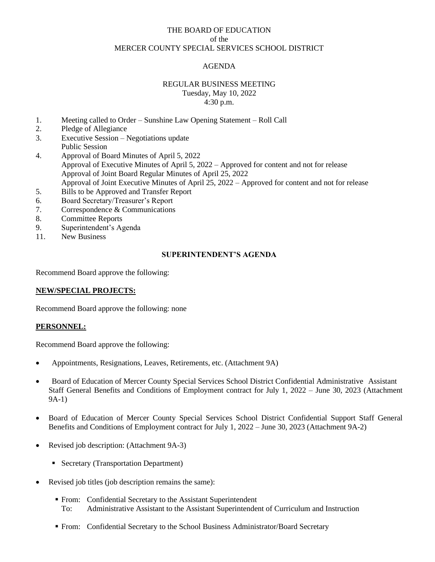## THE BOARD OF EDUCATION of the MERCER COUNTY SPECIAL SERVICES SCHOOL DISTRICT

# AGENDA

## REGULAR BUSINESS MEETING Tuesday, May 10, 2022 4:30 p.m.

- 1. Meeting called to Order Sunshine Law Opening Statement Roll Call
- 2. Pledge of Allegiance
- 3. Executive Session Negotiations update Public Session
- 4. Approval of Board Minutes of April 5, 2022 Approval of Executive Minutes of April 5, 2022 – Approved for content and not for release Approval of Joint Board Regular Minutes of April 25, 2022 Approval of Joint Executive Minutes of April 25, 2022 – Approved for content and not for release
- 5. Bills to be Approved and Transfer Report
- 6. Board Secretary/Treasurer's Report
- 7. Correspondence & Communications
- 8. Committee Reports
- 9. Superintendent's Agenda
- 11. New Business

### **SUPERINTENDENT'S AGENDA**

Recommend Board approve the following:

#### **NEW/SPECIAL PROJECTS:**

Recommend Board approve the following: none

#### **PERSONNEL:**

Recommend Board approve the following:

- Appointments, Resignations, Leaves, Retirements, etc. (Attachment 9A)
- Board of Education of Mercer County Special Services School District Confidential Administrative Assistant Staff General Benefits and Conditions of Employment contract for July 1, 2022 – June 30, 2023 (Attachment 9A-1)
- Board of Education of Mercer County Special Services School District Confidential Support Staff General Benefits and Conditions of Employment contract for July 1, 2022 – June 30, 2023 (Attachment 9A-2)
- Revised job description: (Attachment 9A-3)
	- Secretary (Transportation Department)
- Revised job titles (job description remains the same):
	- From: Confidential Secretary to the Assistant Superintendent To: Administrative Assistant to the Assistant Superintendent of Curriculum and Instruction
	- From: Confidential Secretary to the School Business Administrator/Board Secretary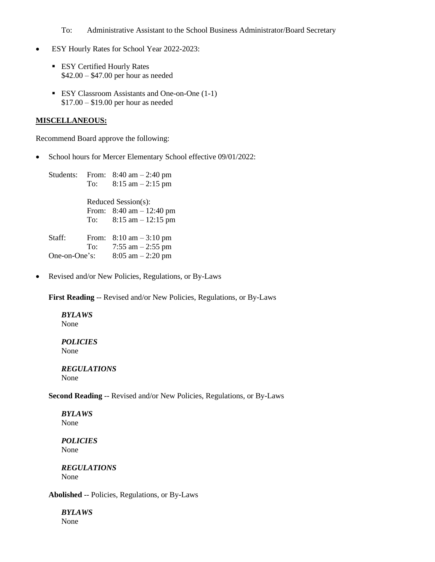To: Administrative Assistant to the School Business Administrator/Board Secretary

- ESY Hourly Rates for School Year 2022-2023:
	- **ESY Certified Hourly Rates** \$42.00 – \$47.00 per hour as needed
	- ESY Classroom Assistants and One-on-One (1-1) \$17.00 – \$19.00 per hour as needed

#### **MISCELLANEOUS:**

Recommend Board approve the following:

• School hours for Mercer Elementary School effective 09/01/2022:

Students: From: 8:40 am – 2:40 pm To:  $8:15 \text{ am} - 2:15 \text{ pm}$  Reduced Session(s): From: 8:40 am – 12:40 pm To: 8:15 am – 12:15 pm Staff: From: 8:10 am – 3:10 pm To:  $7:55 \text{ am} - 2:55 \text{ pm}$ One-on-One's: 8:05 am – 2:20 pm

• Revised and/or New Policies, Regulations, or By-Laws

**First Reading** -- Revised and/or New Policies, Regulations, or By-Laws

### *BYLAWS* None

*POLICIES* None

*REGULATIONS* None

**Second Reading** -- Revised and/or New Policies, Regulations, or By-Laws

*BYLAWS* None

*POLICIES* None

*REGULATIONS* None

**Abolished** -- Policies, Regulations, or By-Laws

*BYLAWS* None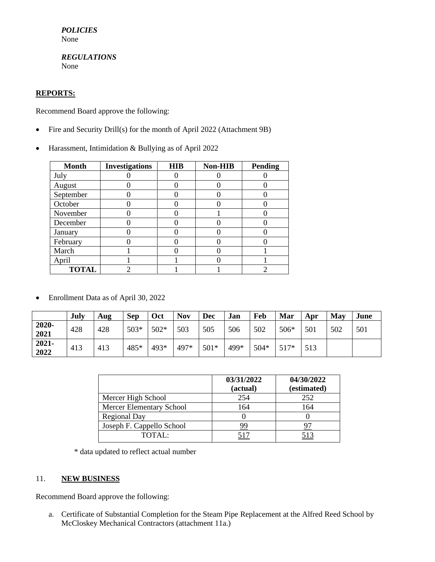*POLICIES* None

*REGULATIONS* None

## **REPORTS:**

Recommend Board approve the following:

- Fire and Security Drill(s) for the month of April 2022 (Attachment 9B)
- Harassment, Intimidation & Bullying as of April 2022

| <b>Month</b> | <b>Investigations</b> | <b>HIB</b> | <b>Non-HIB</b> | <b>Pending</b> |
|--------------|-----------------------|------------|----------------|----------------|
| July         |                       |            |                |                |
| August       |                       |            |                |                |
| September    |                       |            |                |                |
| October      |                       |            |                |                |
| November     |                       |            |                |                |
| December     |                       |            |                |                |
| January      |                       |            |                |                |
| February     |                       |            |                |                |
| March        |                       |            |                |                |
| April        |                       |            |                |                |
| <b>TOTAL</b> | っ                     |            |                |                |

• Enrollment Data as of April 30, 2022

|                  | July | Aug | <b>Sep</b> | Oct    | <b>Nov</b> | Dec    | Jan  | Feb  | Mar  | Apr | May | June |
|------------------|------|-----|------------|--------|------------|--------|------|------|------|-----|-----|------|
| 2020-<br>2021    | 428  | 428 | $503*$     | $502*$ | 503        | 505    | 506  | 502  | 506* | 501 | 502 | 501  |
| $2021 -$<br>2022 | 413  | 413 | 485*       | 493*   | 497*       | $501*$ | 499* | 504* | 517* | 513 |     |      |

|                           | 03/31/2022<br>(actual) | 04/30/2022<br>(estimated) |
|---------------------------|------------------------|---------------------------|
| Mercer High School        | 254                    | 252                       |
| Mercer Elementary School  | 164                    | 164                       |
| <b>Regional Day</b>       |                        |                           |
| Joseph F. Cappello School | 99                     |                           |
| TOTAI:                    |                        |                           |

\* data updated to reflect actual number

## 11. **NEW BUSINESS**

Recommend Board approve the following:

a. Certificate of Substantial Completion for the Steam Pipe Replacement at the Alfred Reed School by McCloskey Mechanical Contractors (attachment 11a.)